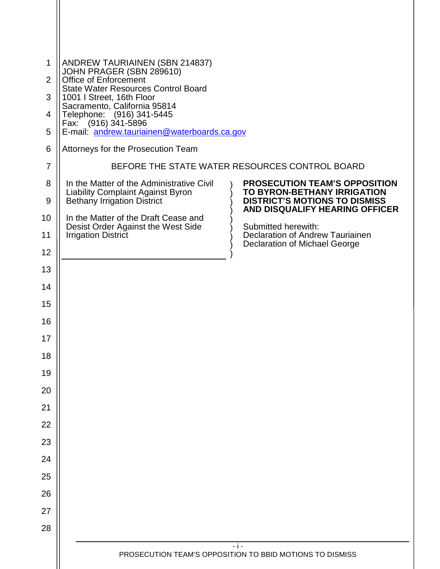| 1              | ANDREW TAURIAINEN (SBN 214837)<br>JOHN PRAGER (SBN 289610)<br>Office of Enforcement                                         |                                                                                                             |
|----------------|-----------------------------------------------------------------------------------------------------------------------------|-------------------------------------------------------------------------------------------------------------|
| 2              | <b>State Water Resources Control Board</b>                                                                                  |                                                                                                             |
| 3              | 1001   Street, 16th Floor<br>Sacramento, California 95814                                                                   |                                                                                                             |
| 4              | Telephone: (916) 341-5445<br>Fax: (916) 341-5896                                                                            |                                                                                                             |
| 5              | E-mail: andrew.tauriainen@waterboards.ca.gov                                                                                |                                                                                                             |
| 6              | Attorneys for the Prosecution Team                                                                                          |                                                                                                             |
| $\overline{7}$ |                                                                                                                             | BEFORE THE STATE WATER RESOURCES CONTROL BOARD                                                              |
| 8<br>9         | In the Matter of the Administrative Civil<br><b>Liability Complaint Against Byron</b><br><b>Bethany Irrigation District</b> | <b>PROSECUTION TEAM'S OPPOSITION</b><br>TO BYRON-BETHANY IRRIGATION<br><b>DISTRICT'S MOTIONS TO DISMISS</b> |
| 10             | In the Matter of the Draft Cease and                                                                                        | <b>AND DISQUALIFY HEARING OFFICER</b>                                                                       |
| 11             | Desist Order Against the West Side<br><b>Irrigation District</b>                                                            | Submitted herewith:<br>Declaration of Andrew Tauriainen                                                     |
| 12             |                                                                                                                             | <b>Declaration of Michael George</b>                                                                        |
| 13             |                                                                                                                             |                                                                                                             |
| 14             |                                                                                                                             |                                                                                                             |
| 15             |                                                                                                                             |                                                                                                             |
| 16             |                                                                                                                             |                                                                                                             |
| 17             |                                                                                                                             |                                                                                                             |
| 18             |                                                                                                                             |                                                                                                             |
| 19             |                                                                                                                             |                                                                                                             |
| 20             |                                                                                                                             |                                                                                                             |
| 21             |                                                                                                                             |                                                                                                             |
| 22             |                                                                                                                             |                                                                                                             |
| 23             |                                                                                                                             |                                                                                                             |
| 24             |                                                                                                                             |                                                                                                             |
| 25             |                                                                                                                             |                                                                                                             |
| 26             |                                                                                                                             |                                                                                                             |
| 27             |                                                                                                                             |                                                                                                             |
| 28             |                                                                                                                             |                                                                                                             |
|                |                                                                                                                             | $-i -$<br>PROSECUTION TEAM'S OPPOSITION TO BBID MOTIONS TO DISMISS                                          |
|                |                                                                                                                             |                                                                                                             |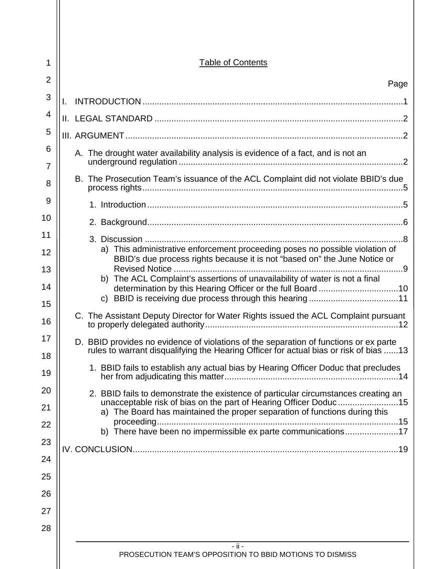| 1        | <b>Table of Contents</b>                                                                                                                                                       |
|----------|--------------------------------------------------------------------------------------------------------------------------------------------------------------------------------|
| 2        | Page                                                                                                                                                                           |
| 3        |                                                                                                                                                                                |
| 4        |                                                                                                                                                                                |
| 5        |                                                                                                                                                                                |
| 6<br>7   | A. The drought water availability analysis is evidence of a fact, and is not an                                                                                                |
| 8        | B. The Prosecution Team's issuance of the ACL Complaint did not violate BBID's due                                                                                             |
| 9        |                                                                                                                                                                                |
| 10       |                                                                                                                                                                                |
| 11       |                                                                                                                                                                                |
| 12       | a) This administrative enforcement proceeding poses no possible violation of<br>BBID's due process rights because it is not "based on" the June Notice or                      |
| 13       | b) The ACL Complaint's assertions of unavailability of water is not a final                                                                                                    |
| 14<br>15 |                                                                                                                                                                                |
| 16       | C. The Assistant Deputy Director for Water Rights issued the ACL Complaint pursuant                                                                                            |
| 17<br>18 | D. BBID provides no evidence of violations of the separation of functions or ex parte<br>rules to warrant disqualifying the Hearing Officer for actual bias or risk of bias 13 |
| 19       | 1. BBID fails to establish any actual bias by Hearing Officer Doduc that precludes                                                                                             |
| 20<br>21 | 2. BBID fails to demonstrate the existence of particular circumstances creating an<br>unacceptable risk of bias on the part of Hearing Officer Doduc15                         |
| 22       | a) The Board has maintained the proper separation of functions during this                                                                                                     |
| 23       | b) There have been no impermissible ex parte communications17                                                                                                                  |
| 24       |                                                                                                                                                                                |
| 25       |                                                                                                                                                                                |
| 26       |                                                                                                                                                                                |
| 27       |                                                                                                                                                                                |
| 28       |                                                                                                                                                                                |
|          | - ji -<br>PROSECUTION TEAM'S OPPOSITION TO BBID MOTIONS TO DISMISS                                                                                                             |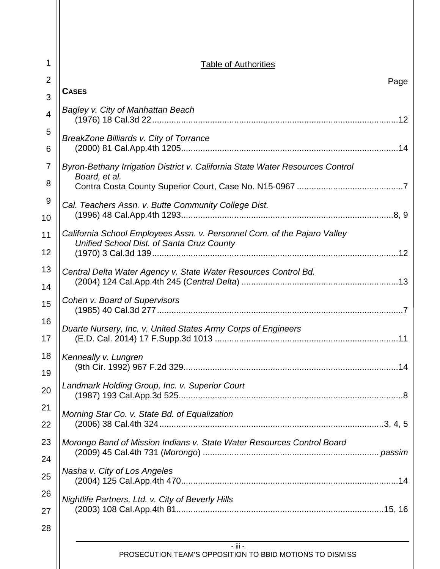| 1              | <b>Table of Authorities</b>                                                                                           |
|----------------|-----------------------------------------------------------------------------------------------------------------------|
| $\overline{2}$ | Page                                                                                                                  |
| 3              | <b>CASES</b>                                                                                                          |
| 4              | Bagley v. City of Manhattan Beach                                                                                     |
| 5<br>6         | BreakZone Billiards v. City of Torrance                                                                               |
| $\overline{7}$ | Byron-Bethany Irrigation District v. California State Water Resources Control                                         |
| 8              | Board, et al.                                                                                                         |
| 9              | Cal. Teachers Assn. v. Butte Community College Dist.                                                                  |
| 10             |                                                                                                                       |
| 11             | California School Employees Assn. v. Personnel Com. of the Pajaro Valley<br>Unified School Dist. of Santa Cruz County |
| 12             |                                                                                                                       |
| 13             | Central Delta Water Agency v. State Water Resources Control Bd.                                                       |
| 14             |                                                                                                                       |
| 15             | Cohen v. Board of Supervisors                                                                                         |
| 16<br>17       | Duarte Nursery, Inc. v. United States Army Corps of Engineers                                                         |
| 18             | Kenneally v. Lungren                                                                                                  |
| 19             |                                                                                                                       |
| 20             | Landmark Holding Group, Inc. v. Superior Court                                                                        |
| 21             | Morning Star Co. v. State Bd. of Equalization                                                                         |
| 22             |                                                                                                                       |
| 23             | Morongo Band of Mission Indians v. State Water Resources Control Board                                                |
| 24             |                                                                                                                       |
| 25             | Nasha v. City of Los Angeles                                                                                          |
| 26             | Nightlife Partners, Ltd. v. City of Beverly Hills                                                                     |
| 27             |                                                                                                                       |
| 28             |                                                                                                                       |
|                | $-$ iii $-$<br>PROSECUTION TEAM'S OPPOSITION TO BBID MOTIONS TO DISMISS                                               |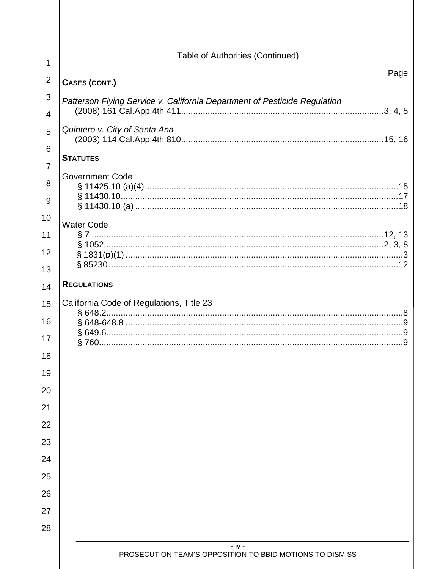| 1              | <b>Table of Authorities (Continued)</b>                                   |
|----------------|---------------------------------------------------------------------------|
| $\overline{2}$ | Page<br>CASES (CONT.)                                                     |
| 3              |                                                                           |
| 4              | Patterson Flying Service v. California Department of Pesticide Regulation |
| 5              | Quintero v. City of Santa Ana                                             |
| 6<br>7         | <b>STATUTES</b>                                                           |
| 8              | <b>Government Code</b>                                                    |
|                |                                                                           |
| 9<br>10        |                                                                           |
| 11             | <b>Water Code</b>                                                         |
| 12             |                                                                           |
| 13             |                                                                           |
| 14             | <b>REGULATIONS</b>                                                        |
| 15             | California Code of Regulations, Title 23                                  |
| 16             |                                                                           |
| 17             | .9                                                                        |
| 18             |                                                                           |
| 19             |                                                                           |
| 20             |                                                                           |
| 21             |                                                                           |
| 22             |                                                                           |
| 23             |                                                                           |
| 24             |                                                                           |
| 25             |                                                                           |
| 26             |                                                                           |
| 27             |                                                                           |
| 28             |                                                                           |
|                | $- iv -$<br>PROSECUTION TEAM'S OPPOSITION TO BBID MOTIONS TO DISMISS      |
|                |                                                                           |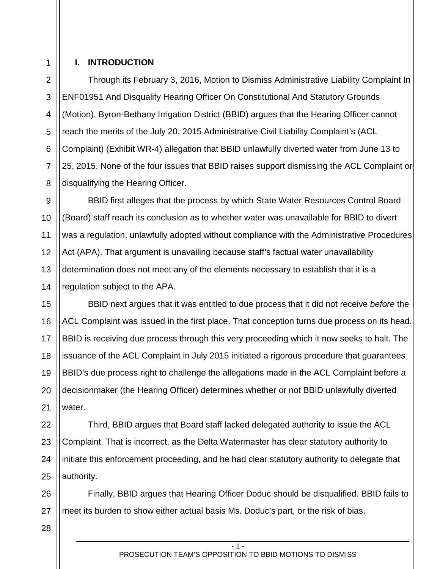1 2

3

4

5

6

7

8

9

10

11

12

13

14

## <span id="page-4-0"></span>**I. INTRODUCTION**

Through its February 3, 2016, Motion to Dismiss Administrative Liability Complaint In ENF01951 And Disqualify Hearing Officer On Constitutional And Statutory Grounds (Motion), Byron-Bethany Irrigation District (BBID) argues that the Hearing Officer cannot reach the merits of the July 20, 2015 Administrative Civil Liability Complaint's (ACL Complaint) (Exhibit WR-4) allegation that BBID unlawfully diverted water from June 13 to 25, 2015. None of the four issues that BBID raises support dismissing the ACL Complaint or disqualifying the Hearing Officer.

BBID first alleges that the process by which State Water Resources Control Board (Board) staff reach its conclusion as to whether water was unavailable for BBID to divert was a regulation, unlawfully adopted without compliance with the Administrative Procedures Act (APA). That argument is unavailing because staff's factual water unavailability determination does not meet any of the elements necessary to establish that it is a regulation subject to the APA.

15 16 17 18 19 20 21 BBID next argues that it was entitled to due process that it did not receive *before* the ACL Complaint was issued in the first place. That conception turns due process on its head. BBID is receiving due process through this very proceeding which it now seeks to halt. The issuance of the ACL Complaint in July 2015 initiated a rigorous procedure that guarantees BBID's due process right to challenge the allegations made in the ACL Complaint before a decisionmaker (the Hearing Officer) determines whether or not BBID unlawfully diverted water.

22 23 24 25 Third, BBID argues that Board staff lacked delegated authority to issue the ACL Complaint. That is incorrect, as the Delta Watermaster has clear statutory authority to initiate this enforcement proceeding, and he had clear statutory authority to delegate that authority.

26 27 Finally, BBID argues that Hearing Officer Doduc should be disqualified. BBID fails to meet its burden to show either actual basis Ms. Doduc's part, or the risk of bias.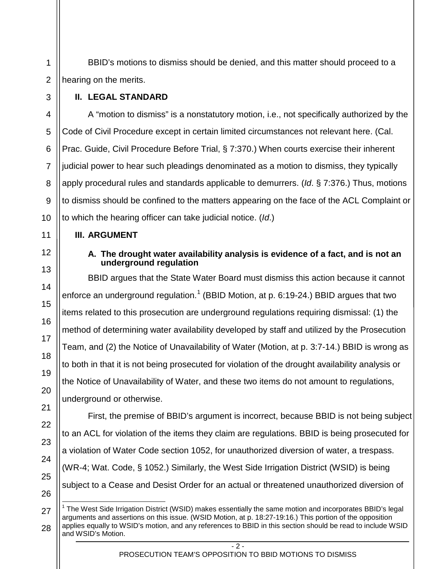BBID's motions to dismiss should be denied, and this matter should proceed to a hearing on the merits.

# <span id="page-5-0"></span>**II. LEGAL STANDARD**

1

2

3

11

12

13

14

15

16

17

18

19

20

21

22

23

24

25

26

4 5 6 7 8 9 10 A "motion to dismiss" is a nonstatutory motion, i.e., not specifically authorized by the Code of Civil Procedure except in certain limited circumstances not relevant here. (Cal. Prac. Guide, Civil Procedure Before Trial, § 7:370.) When courts exercise their inherent judicial power to hear such pleadings denominated as a motion to dismiss, they typically apply procedural rules and standards applicable to demurrers. (*Id*. § 7:376.) Thus, motions to dismiss should be confined to the matters appearing on the face of the ACL Complaint or to which the hearing officer can take judicial notice. (*Id*.)

# <span id="page-5-2"></span><span id="page-5-1"></span>**III. ARGUMENT**

## **A. The drought water availability analysis is evidence of a fact, and is not an underground regulation**

BBID argues that the State Water Board must dismiss this action because it cannot enforce an underground regulation.<sup>[1](#page-5-3)</sup> (BBID Motion, at p. 6:19-24.) BBID argues that two items related to this prosecution are underground regulations requiring dismissal: (1) the method of determining water availability developed by staff and utilized by the Prosecution Team, and (2) the Notice of Unavailability of Water (Motion, at p. 3:7-14.) BBID is wrong as to both in that it is not being prosecuted for violation of the drought availability analysis or the Notice of Unavailability of Water, and these two items do not amount to regulations, underground or otherwise.

First, the premise of BBID's argument is incorrect, because BBID is not being subject to an ACL for violation of the items they claim are regulations. BBID is being prosecuted for a violation of Water Code section 1052, for unauthorized diversion of water, a trespass. (WR-4; Wat. Code, § 1052.) Similarly, the West Side Irrigation District (WSID) is being subject to a Cease and Desist Order for an actual or threatened unauthorized diversion of

<span id="page-5-3"></span><sup>27</sup> <sup>1</sup> The West Side Irrigation District (WSID) makes essentially the same motion and incorporates BBID's legal arguments and assertions on this issue. (WSID Motion, at p. 18:27-19:16.) This portion of the opposition applies equally to WSID's motion, and any references to BBID in this section should be read to include WSID and WSID's Motion.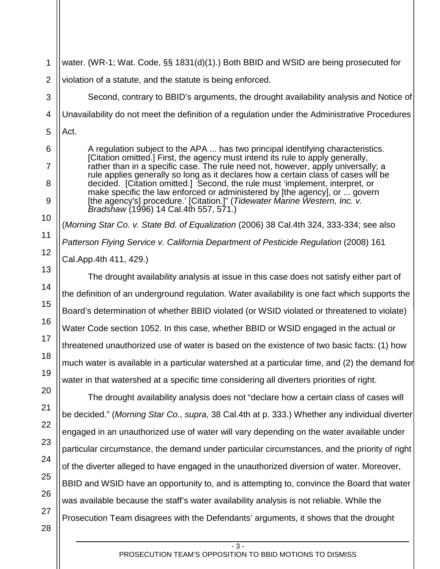- 3 - PROSECUTION TEAM'S OPPOSITION TO BBID MOTIONS TO DISMISS 5 6 8 9 10 11 12 13 14 15 16 17 18 19 20 22 23 24 25 26 27 28 Act. A regulation subject to the APA ... has two principal identifying characteristics. [Citation omitted.] First, the agency must intend its rule to apply generally, rather than in a specific case. The rule need not, however, apply universally; a rule applies generally so long as it declares how a certain class of cases will be decided. [Citation omitted.] Second, the rule must 'implement, interpret, or make specific the law enforced or administered by [the agency], or ... govern [the agency's] procedure.' [Citation.]" (*Tidewater Marine Western, Inc. v. Bradshaw* (1996) 14 Cal.4th 557, 571.) (*Morning Star Co. v. State Bd. of Equalization* (2006) 38 Cal.4th 324, 333-334; see also *Patterson Flying Service v. California Department of Pesticide Regulation* (2008) 161 Cal.App.4th 411, 429.) The drought availability analysis at issue in this case does not satisfy either part of the definition of an underground regulation. Water availability is one fact which supports the Board's determination of whether BBID violated (or WSID violated or threatened to violate) Water Code section 1052. In this case, whether BBID or WSID engaged in the actual or threatened unauthorized use of water is based on the existence of two basic facts: (1) how much water is available in a particular watershed at a particular time, and (2) the demand for water in that watershed at a specific time considering all diverters priorities of right. The drought availability analysis does not "declare how a certain class of cases will be decided." (*Morning Star Co., supra*, 38 Cal.4th at p. 333.) Whether any individual diverter engaged in an unauthorized use of water will vary depending on the water available under particular circumstance, the demand under particular circumstances, and the priority of right of the diverter alleged to have engaged in the unauthorized diversion of water. Moreover, BBID and WSID have an opportunity to, and is attempting to, convince the Board that water was available because the staff's water availability analysis is not reliable. While the Prosecution Team disagrees with the Defendants' arguments, it shows that the drought

water. (WR-1; Wat. Code, §§ 1831(d)(1).) Both BBID and WSID are being prosecuted for

Unavailability do not meet the definition of a regulation under the Administrative Procedures

Second, contrary to BBID's arguments, the drought availability analysis and Notice of

violation of a statute, and the statute is being enforced.

1

2

3

4

7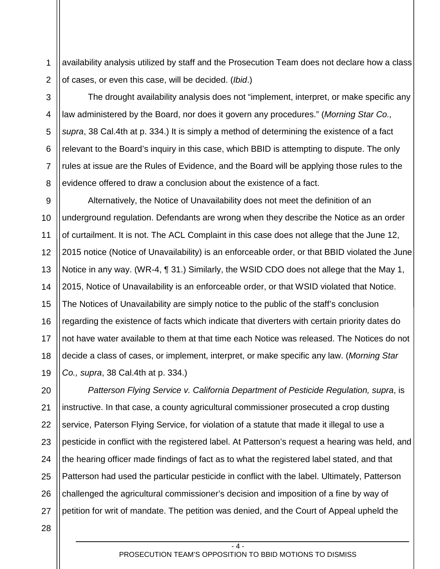1 2 availability analysis utilized by staff and the Prosecution Team does not declare how a class of cases, or even this case, will be decided. (*Ibid*.)

3 4 5 6 7 8 The drought availability analysis does not "implement, interpret, or make specific any law administered by the Board, nor does it govern any procedures." (*Morning Star Co., supra*, 38 Cal.4th at p. 334.) It is simply a method of determining the existence of a fact relevant to the Board's inquiry in this case, which BBID is attempting to dispute. The only rules at issue are the Rules of Evidence, and the Board will be applying those rules to the evidence offered to draw a conclusion about the existence of a fact.

9 10 11 12 13 14 15 16 17 18 19 Alternatively, the Notice of Unavailability does not meet the definition of an underground regulation. Defendants are wrong when they describe the Notice as an order of curtailment. It is not. The ACL Complaint in this case does not allege that the June 12, 2015 notice (Notice of Unavailability) is an enforceable order, or that BBID violated the June Notice in any way. (WR-4, ¶ 31.) Similarly, the WSID CDO does not allege that the May 1, 2015, Notice of Unavailability is an enforceable order, or that WSID violated that Notice. The Notices of Unavailability are simply notice to the public of the staff's conclusion regarding the existence of facts which indicate that diverters with certain priority dates do not have water available to them at that time each Notice was released. The Notices do not decide a class of cases, or implement, interpret, or make specific any law. (*Morning Star Co., supra*, 38 Cal.4th at p. 334.)

20 21 22 23 24 25 26 27 *Patterson Flying Service v. California Department of Pesticide Regulation, supra*, is instructive. In that case, a county agricultural commissioner prosecuted a crop dusting service, Paterson Flying Service, for violation of a statute that made it illegal to use a pesticide in conflict with the registered label. At Patterson's request a hearing was held, and the hearing officer made findings of fact as to what the registered label stated, and that Patterson had used the particular pesticide in conflict with the label. Ultimately, Patterson challenged the agricultural commissioner's decision and imposition of a fine by way of petition for writ of mandate. The petition was denied, and the Court of Appeal upheld the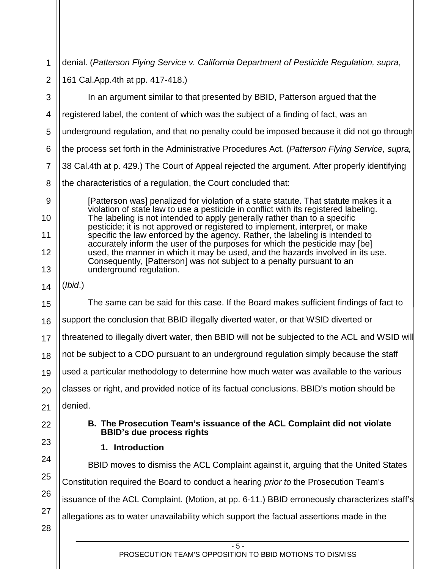<span id="page-8-1"></span><span id="page-8-0"></span>

| 1              | denial. (Patterson Flying Service v. California Department of Pesticide Regulation, supra,                                                                       |  |
|----------------|------------------------------------------------------------------------------------------------------------------------------------------------------------------|--|
| $\overline{2}$ | 161 Cal. App. 4th at pp. 417-418.)                                                                                                                               |  |
| 3              | In an argument similar to that presented by BBID, Patterson argued that the                                                                                      |  |
| $\overline{4}$ | registered label, the content of which was the subject of a finding of fact, was an                                                                              |  |
| 5              | underground regulation, and that no penalty could be imposed because it did not go through                                                                       |  |
| 6              | the process set forth in the Administrative Procedures Act. (Patterson Flying Service, supra,                                                                    |  |
| $\overline{7}$ | 38 Cal.4th at p. 429.) The Court of Appeal rejected the argument. After properly identifying                                                                     |  |
| 8              | the characteristics of a regulation, the Court concluded that:                                                                                                   |  |
| 9              | [Patterson was] penalized for violation of a state statute. That statute makes it a                                                                              |  |
| 10             | violation of state law to use a pesticide in conflict with its registered labeling.<br>The labeling is not intended to apply generally rather than to a specific |  |
| 11             | pesticide; it is not approved or registered to implement, interpret, or make<br>specific the law enforced by the agency. Rather, the labeling is intended to     |  |
| 12             | accurately inform the user of the purposes for which the pesticide may [be]<br>used, the manner in which it may be used, and the hazards involved in its use.    |  |
| 13             | Consequently, [Patterson] was not subject to a penalty pursuant to an<br>underground regulation.                                                                 |  |
| 14             | (Ibid.)                                                                                                                                                          |  |
| 15             | The same can be said for this case. If the Board makes sufficient findings of fact to                                                                            |  |
| 16             | support the conclusion that BBID illegally diverted water, or that WSID diverted or                                                                              |  |
| 17             | threatened to illegally divert water, then BBID will not be subjected to the ACL and WSID will                                                                   |  |
| 18             | not be subject to a CDO pursuant to an underground regulation simply because the staff                                                                           |  |
| 19             | used a particular methodology to determine how much water was available to the various                                                                           |  |
| 20             | classes or right, and provided notice of its factual conclusions. BBID's motion should be                                                                        |  |
| 21             | denied.                                                                                                                                                          |  |
| 22             | B. The Prosecution Team's issuance of the ACL Complaint did not violate<br><b>BBID's due process rights</b>                                                      |  |
| 23             | 1. Introduction                                                                                                                                                  |  |
| 24             | BBID moves to dismiss the ACL Complaint against it, arguing that the United States                                                                               |  |
| 25             | Constitution required the Board to conduct a hearing <i>prior to</i> the Prosecution Team's                                                                      |  |
| 26             | issuance of the ACL Complaint. (Motion, at pp. 6-11.) BBID erroneously characterizes staff's                                                                     |  |
| 27             | allegations as to water unavailability which support the factual assertions made in the                                                                          |  |
| 28             |                                                                                                                                                                  |  |
|                | $-5-$<br>PROSECUTION TEAM'S OPPOSITION TO BBID MOTIONS TO DISMISS                                                                                                |  |
|                |                                                                                                                                                                  |  |

Ш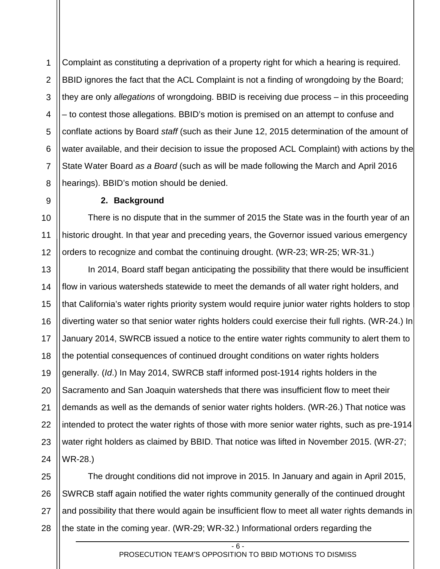1 2 3 4 5 6 7 8 Complaint as constituting a deprivation of a property right for which a hearing is required. BBID ignores the fact that the ACL Complaint is not a finding of wrongdoing by the Board; they are only *allegations* of wrongdoing. BBID is receiving due process – in this proceeding – to contest those allegations. BBID's motion is premised on an attempt to confuse and conflate actions by Board *staff* (such as their June 12, 2015 determination of the amount of water available, and their decision to issue the proposed ACL Complaint) with actions by the State Water Board *as a Board* (such as will be made following the March and April 2016 hearings). BBID's motion should be denied.

## **2. Background**

10 11 12 There is no dispute that in the summer of 2015 the State was in the fourth year of an historic drought. In that year and preceding years, the Governor issued various emergency orders to recognize and combat the continuing drought. (WR-23; WR-25; WR-31.)

13 14 15 16 17 18 19 20 21 22 23 24 In 2014, Board staff began anticipating the possibility that there would be insufficient flow in various watersheds statewide to meet the demands of all water right holders, and that California's water rights priority system would require junior water rights holders to stop diverting water so that senior water rights holders could exercise their full rights. (WR-24.) In January 2014, SWRCB issued a notice to the entire water rights community to alert them to the potential consequences of continued drought conditions on water rights holders generally. (*Id*.) In May 2014, SWRCB staff informed post-1914 rights holders in the Sacramento and San Joaquin watersheds that there was insufficient flow to meet their demands as well as the demands of senior water rights holders. (WR-26.) That notice was intended to protect the water rights of those with more senior water rights, such as pre-1914 water right holders as claimed by BBID. That notice was lifted in November 2015. (WR-27; WR-28.)

25 26 27 28 The drought conditions did not improve in 2015. In January and again in April 2015, SWRCB staff again notified the water rights community generally of the continued drought and possibility that there would again be insufficient flow to meet all water rights demands in the state in the coming year. (WR-29; WR-32.) Informational orders regarding the

<span id="page-9-0"></span>9

 $-6$ PROSECUTION TEAM'S OPPOSITION TO BBID MOTIONS TO DISMISS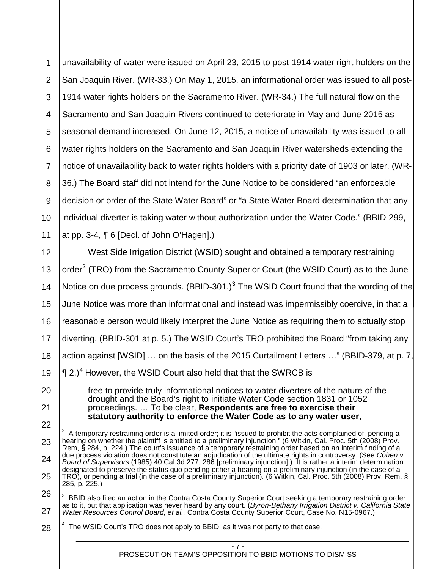1 2 3 4 5 6 7 8 9 10 11 unavailability of water were issued on April 23, 2015 to post-1914 water right holders on the San Joaquin River. (WR-33.) On May 1, 2015, an informational order was issued to all post-1914 water rights holders on the Sacramento River. (WR-34.) The full natural flow on the Sacramento and San Joaquin Rivers continued to deteriorate in May and June 2015 as seasonal demand increased. On June 12, 2015, a notice of unavailability was issued to all water rights holders on the Sacramento and San Joaquin River watersheds extending the notice of unavailability back to water rights holders with a priority date of 1903 or later. (WR-36.) The Board staff did not intend for the June Notice to be considered "an enforceable decision or order of the State Water Board" or "a State Water Board determination that any individual diverter is taking water without authorization under the Water Code." (BBID-299, at pp. 3-4, ¶ 6 [Decl. of John O'Hagen].)

12 13 14 15 16 17 18 West Side Irrigation District (WSID) sought and obtained a temporary restraining order<sup>[2](#page-10-0)</sup> (TRO) from the Sacramento County Superior Court (the WSID Court) as to the June Notice on due process grounds.  $(BBID-301.)^3$  $(BBID-301.)^3$  $(BBID-301.)^3$  The WSID Court found that the wording of the June Notice was more than informational and instead was impermissibly coercive, in that a reasonable person would likely interpret the June Notice as requiring them to actually stop diverting. (BBID-301 at p. 5.) The WSID Court's TRO prohibited the Board "from taking any action against [WSID] … on the basis of the 2015 Curtailment Letters …" (BBID-379, at p. 7,  $\P$  2.)<sup>[4](#page-10-2)</sup> However, the WSID Court also held that that the SWRCB is

free to provide truly informational notices to water diverters of the nature of the drought and the Board's right to initiate Water Code section 1831 or 1052 proceedings. … To be clear, **Respondents are free to exercise their statutory authority to enforce the Water Code as to any water user**,

 2 A temporary restraining order is a limited order; it is "issued to prohibit the acts complained of, pending a hearing on whether the plaintiff is entitled to a preliminary injunction." (6 Witkin, Cal. Proc. 5th (2008) Prov. Rem, § 284, p. 224.) The court's issuance of a temporary restraining order based on an interim finding of a due process violation does not constitute an adjudication of the ultimate rights in controversy. (See *Cohen v. Board of Supervisors* (1985) 40 Cal.3d 277, 286 [preliminary injunction].) It is rather a interim determination designated to preserve the status quo pending either a hearing on a preliminary injunction (in the case of a TRO), or pending a trial (in the case of a preliminary injunction). (6 Witkin, Cal. Proc. 5th (2008) Prov. Rem, § 285, p. 225.)

<span id="page-10-1"></span>26 27  $3$  BBID also filed an action in the Contra Costa County Superior Court seeking a temporary restraining order as to it, but that application was never heard by any court. (*Byron-Bethany Irrigation District v. California State Water Resources Control Board, et al.,* Contra Costa County Superior Court, Case No. N15-0967.)

<span id="page-10-2"></span>28  $4$  The WSID Court's TRO does not apply to BBID, as it was not party to that case.

- 19 20 21
- <span id="page-10-0"></span>22

23

24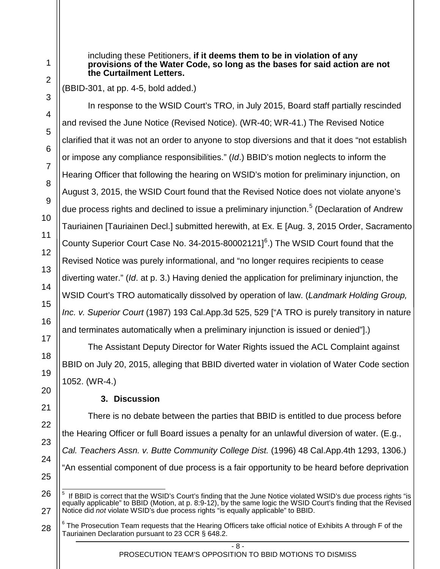including these Petitioners, **if it deems them to be in violation of any provisions of the Water Code, so long as the bases for said action are not the Curtailment Letters.**

(BBID-301, at pp. 4-5, bold added.)

In response to the WSID Court's TRO, in July 2015, Board staff partially rescinded and revised the June Notice (Revised Notice). (WR-40; WR-41.) The Revised Notice clarified that it was not an order to anyone to stop diversions and that it does "not establish or impose any compliance responsibilities." (*Id*.) BBID's motion neglects to inform the Hearing Officer that following the hearing on WSID's motion for preliminary injunction, on August 3, 2015, the WSID Court found that the Revised Notice does not violate anyone's due process rights and declined to issue a preliminary injunction.<sup>[5](#page-11-1)</sup> (Declaration of Andrew Tauriainen [Tauriainen Decl.] submitted herewith, at Ex. E [Aug. 3, 2015 Order, Sacramento County Superior Court Case No. 34-2015-80002121] $^6$  $^6$ .) The WSID Court found that the Revised Notice was purely informational, and "no longer requires recipients to cease diverting water." (*Id*. at p. 3.) Having denied the application for preliminary injunction, the WSID Court's TRO automatically dissolved by operation of law. (*Landmark Holding Group, Inc. v. Superior Court* (1987) 193 Cal.App.3d 525, 529 ["A TRO is purely transitory in nature and terminates automatically when a preliminary injunction is issued or denied"].)

The Assistant Deputy Director for Water Rights issued the ACL Complaint against BBID on July 20, 2015, alleging that BBID diverted water in violation of Water Code section 1052. (WR-4.)

# **3. Discussion**

<span id="page-11-0"></span>There is no debate between the parties that BBID is entitled to due process before the Hearing Officer or full Board issues a penalty for an unlawful diversion of water. (E.g., *Cal. Teachers Assn. v. Butte Community College Dist.* (1996) 48 Cal.App.4th 1293, 1306.) "An essential component of due process is a fair opportunity to be heard before deprivation

- 8 -

PROSECUTION TEAM'S OPPOSITION TO BBID MOTIONS TO DISMISS

<span id="page-11-1"></span>5 If BBID is correct that the WSID's Court's finding that the June Notice violated WSID's due process rights "is equally applicable" to BBID (Motion, at p. 8:9-12), by the same logic the WSID Court's finding that the Revised Notice did *not* violate WSID's due process rights "is equally applicable" to BBID.

<span id="page-11-2"></span> $6$  The Prosecution Team requests that the Hearing Officers take official notice of Exhibits A through F of the Tauriainen Declaration pursuant to 23 CCR § 648.2.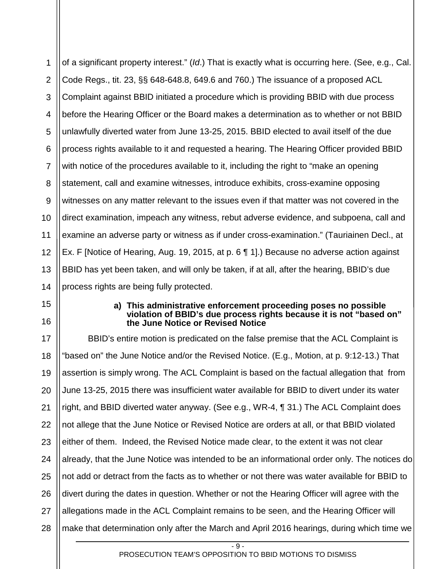1 2 3 4 5 6 7 8 9 10 11 12 13 14 of a significant property interest." (*Id*.) That is exactly what is occurring here. (See, e.g., Cal. Code Regs., tit. 23, §§ 648-648.8, 649.6 and 760.) The issuance of a proposed ACL Complaint against BBID initiated a procedure which is providing BBID with due process before the Hearing Officer or the Board makes a determination as to whether or not BBID unlawfully diverted water from June 13-25, 2015. BBID elected to avail itself of the due process rights available to it and requested a hearing. The Hearing Officer provided BBID with notice of the procedures available to it, including the right to "make an opening statement, call and examine witnesses, introduce exhibits, cross-examine opposing witnesses on any matter relevant to the issues even if that matter was not covered in the direct examination, impeach any witness, rebut adverse evidence, and subpoena, call and examine an adverse party or witness as if under cross-examination." (Tauriainen Decl., at Ex. F [Notice of Hearing, Aug. 19, 2015, at p. 6 ¶ 1].) Because no adverse action against BBID has yet been taken, and will only be taken, if at all, after the hearing, BBID's due process rights are being fully protected.

<span id="page-12-0"></span>15

16

#### **a) This administrative enforcement proceeding poses no possible violation of BBID's due process rights because it is not "based on" the June Notice or Revised Notice**

17 18 19 20 21 22 23 24 25 26 27 28 BBID's entire motion is predicated on the false premise that the ACL Complaint is "based on" the June Notice and/or the Revised Notice. (E.g., Motion, at p. 9:12-13.) That assertion is simply wrong. The ACL Complaint is based on the factual allegation that from June 13-25, 2015 there was insufficient water available for BBID to divert under its water right, and BBID diverted water anyway. (See e.g., WR-4, ¶ 31.) The ACL Complaint does not allege that the June Notice or Revised Notice are orders at all, or that BBID violated either of them. Indeed, the Revised Notice made clear, to the extent it was not clear already, that the June Notice was intended to be an informational order only. The notices do not add or detract from the facts as to whether or not there was water available for BBID to divert during the dates in question. Whether or not the Hearing Officer will agree with the allegations made in the ACL Complaint remains to be seen, and the Hearing Officer will make that determination only after the March and April 2016 hearings, during which time we

 $-$  9  $-$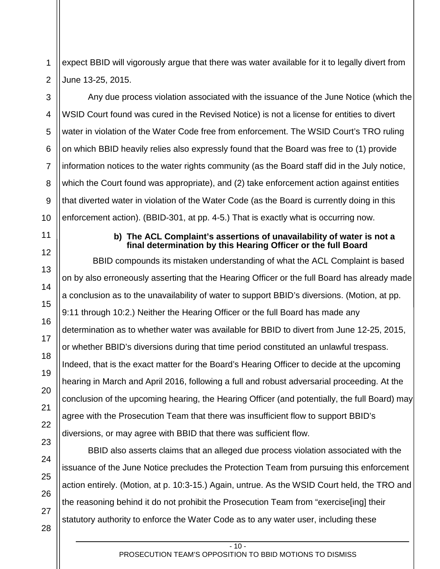1 2 expect BBID will vigorously argue that there was water available for it to legally divert from June 13-25, 2015.

3 4 5 6 7 Any due process violation associated with the issuance of the June Notice (which the WSID Court found was cured in the Revised Notice) is not a license for entities to divert water in violation of the Water Code free from enforcement. The WSID Court's TRO ruling on which BBID heavily relies also expressly found that the Board was free to (1) provide information notices to the water rights community (as the Board staff did in the July notice, which the Court found was appropriate), and (2) take enforcement action against entities that diverted water in violation of the Water Code (as the Board is currently doing in this enforcement action). (BBID-301, at pp. 4-5.) That is exactly what is occurring now.

> **b) The ACL Complaint's assertions of unavailability of water is not a final determination by this Hearing Officer or the full Board**

<span id="page-13-0"></span> BBID compounds its mistaken understanding of what the ACL Complaint is based on by also erroneously asserting that the Hearing Officer or the full Board has already made a conclusion as to the unavailability of water to support BBID's diversions. (Motion, at pp. 9:11 through 10:2.) Neither the Hearing Officer or the full Board has made any determination as to whether water was available for BBID to divert from June 12-25, 2015, or whether BBID's diversions during that time period constituted an unlawful trespass. Indeed, that is the exact matter for the Board's Hearing Officer to decide at the upcoming hearing in March and April 2016, following a full and robust adversarial proceeding. At the conclusion of the upcoming hearing, the Hearing Officer (and potentially, the full Board) may agree with the Prosecution Team that there was insufficient flow to support BBID's diversions, or may agree with BBID that there was sufficient flow.

BBID also asserts claims that an alleged due process violation associated with the issuance of the June Notice precludes the Protection Team from pursuing this enforcement action entirely. (Motion, at p. 10:3-15.) Again, untrue. As the WSID Court held, the TRO and the reasoning behind it do not prohibit the Prosecution Team from "exercise[ing] their statutory authority to enforce the Water Code as to any water user, including these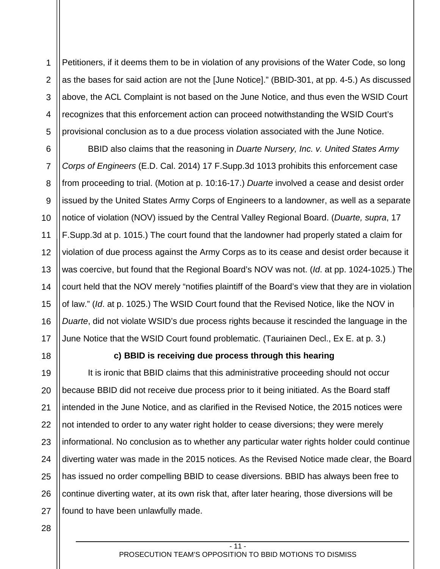1 2 3 4 5 Petitioners, if it deems them to be in violation of any provisions of the Water Code, so long as the bases for said action are not the [June Notice]." (BBID-301, at pp. 4-5.) As discussed above, the ACL Complaint is not based on the June Notice, and thus even the WSID Court recognizes that this enforcement action can proceed notwithstanding the WSID Court's provisional conclusion as to a due process violation associated with the June Notice.

6 7 8 9 10 11 12 13 14 15 16 17 BBID also claims that the reasoning in *Duarte Nursery, Inc. v. United States Army Corps of Engineers* (E.D. Cal. 2014) 17 F.Supp.3d 1013 prohibits this enforcement case from proceeding to trial. (Motion at p. 10:16-17.) *Duarte* involved a cease and desist order issued by the United States Army Corps of Engineers to a landowner, as well as a separate notice of violation (NOV) issued by the Central Valley Regional Board. (*Duarte, supra*, 17 F.Supp.3d at p. 1015.) The court found that the landowner had properly stated a claim for violation of due process against the Army Corps as to its cease and desist order because it was coercive, but found that the Regional Board's NOV was not. (*Id*. at pp. 1024-1025.) The court held that the NOV merely "notifies plaintiff of the Board's view that they are in violation of law." (*Id*. at p. 1025.) The WSID Court found that the Revised Notice, like the NOV in *Duarte*, did not violate WSID's due process rights because it rescinded the language in the June Notice that the WSID Court found problematic. (Tauriainen Decl., Ex E. at p. 3.)

<span id="page-14-0"></span>18

# **c) BBID is receiving due process through this hearing**

19 20 21 22 23 24 25 26 27 It is ironic that BBID claims that this administrative proceeding should not occur because BBID did not receive due process prior to it being initiated. As the Board staff intended in the June Notice, and as clarified in the Revised Notice, the 2015 notices were not intended to order to any water right holder to cease diversions; they were merely informational. No conclusion as to whether any particular water rights holder could continue diverting water was made in the 2015 notices. As the Revised Notice made clear, the Board has issued no order compelling BBID to cease diversions. BBID has always been free to continue diverting water, at its own risk that, after later hearing, those diversions will be found to have been unlawfully made.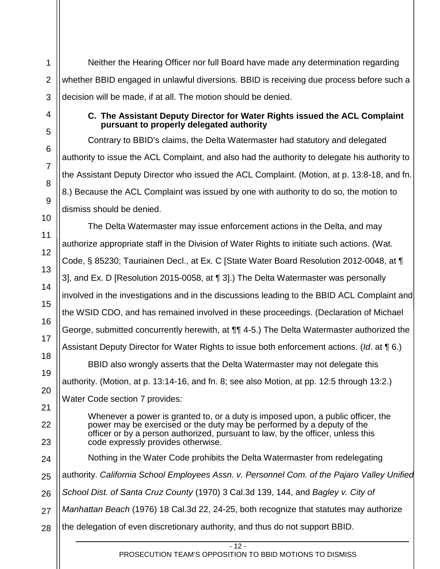1

2

3

<span id="page-15-0"></span>4

Neither the Hearing Officer nor full Board have made any determination regarding whether BBID engaged in unlawful diversions. BBID is receiving due process before such a decision will be made, if at all. The motion should be denied.

## **C. The Assistant Deputy Director for Water Rights issued the ACL Complaint pursuant to properly delegated authority**

Contrary to BBID's claims, the Delta Watermaster had statutory and delegated authority to issue the ACL Complaint, and also had the authority to delegate his authority to the Assistant Deputy Director who issued the ACL Complaint. (Motion, at p. 13:8-18, and fn. 8.) Because the ACL Complaint was issued by one with authority to do so, the motion to dismiss should be denied.

The Delta Watermaster may issue enforcement actions in the Delta, and may authorize appropriate staff in the Division of Water Rights to initiate such actions. (Wat. Code, § 85230; Tauriainen Decl., at Ex. C [State Water Board Resolution 2012-0048, at ¶ 3], and Ex. D [Resolution 2015-0058, at ¶ 3].) The Delta Watermaster was personally involved in the investigations and in the discussions leading to the BBID ACL Complaint and the WSID CDO, and has remained involved in these proceedings. (Declaration of Michael George, submitted concurrently herewith, at ¶¶ 4-5.) The Delta Watermaster authorized the Assistant Deputy Director for Water Rights to issue both enforcement actions. (*Id*. at ¶ 6.) BBID also wrongly asserts that the Delta Watermaster may not delegate this authority. (Motion, at p. 13:14-16, and fn. 8; see also Motion, at pp. 12:5 through 13:2.) Water Code section 7 provides: Whenever a power is granted to, or a duty is imposed upon, a public officer, the power may be exercised or the duty may be performed by a deputy of the officer or by a person authorized, pursuant to law, by the officer, unless this code expressly provides otherwise. Nothing in the Water Code prohibits the Delta Watermaster from redelegating authority. *California School Employees Assn. v. Personnel Com. of the Pajaro Valley Unified School Dist. of Santa Cruz County* (1970) 3 Cal.3d 139, 144, and *Bagley v. City of Manhattan Beach* (1976) 18 Cal.3d 22, 24-25, both recognize that statutes may authorize

the delegation of even discretionary authority, and thus do not support BBID.

- 12 -

PROSECUTION TEAM'S OPPOSITION TO BBID MOTIONS TO DISMISS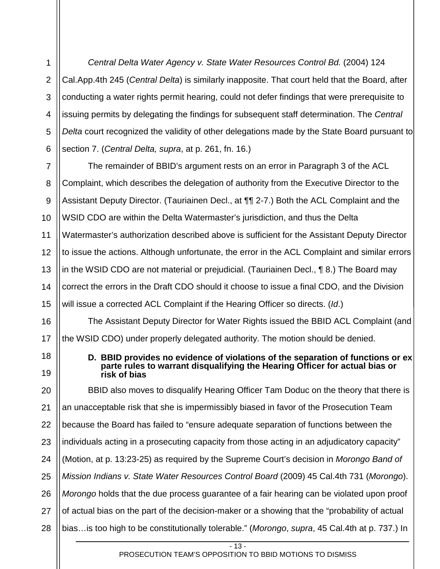2 3 4 5 6 *Central Delta Water Agency v. State Water Resources Control Bd.* (2004) 124 Cal.App.4th 245 (*Central Delta*) is similarly inapposite. That court held that the Board, after conducting a water rights permit hearing, could not defer findings that were prerequisite to issuing permits by delegating the findings for subsequent staff determination. The *Central Delta* court recognized the validity of other delegations made by the State Board pursuant to section 7. (*Central Delta, supra*, at p. 261, fn. 16.)

1

<span id="page-16-0"></span>18

19

7 8 9 10 11 12 13 14 15 The remainder of BBID's argument rests on an error in Paragraph 3 of the ACL Complaint, which describes the delegation of authority from the Executive Director to the Assistant Deputy Director. (Tauriainen Decl., at ¶¶ 2-7.) Both the ACL Complaint and the WSID CDO are within the Delta Watermaster's jurisdiction, and thus the Delta Watermaster's authorization described above is sufficient for the Assistant Deputy Director to issue the actions. Although unfortunate, the error in the ACL Complaint and similar errors in the WSID CDO are not material or prejudicial. (Tauriainen Decl., ¶ 8.) The Board may correct the errors in the Draft CDO should it choose to issue a final CDO, and the Division will issue a corrected ACL Complaint if the Hearing Officer so directs. (*Id*.)

16 17 The Assistant Deputy Director for Water Rights issued the BBID ACL Complaint (and the WSID CDO) under properly delegated authority. The motion should be denied.

> **D. BBID provides no evidence of violations of the separation of functions or ex parte rules to warrant disqualifying the Hearing Officer for actual bias or risk of bias**

20 21 22 23 24 25 26 27 28 BBID also moves to disqualify Hearing Officer Tam Doduc on the theory that there is an unacceptable risk that she is impermissibly biased in favor of the Prosecution Team because the Board has failed to "ensure adequate separation of functions between the individuals acting in a prosecuting capacity from those acting in an adjudicatory capacity" (Motion, at p. 13:23-25) as required by the Supreme Court's decision in *Morongo Band of Mission Indians v. State Water Resources Control Board* (2009) 45 Cal.4th 731 (*Morongo*). *Morongo* holds that the due process guarantee of a fair hearing can be violated upon proof of actual bias on the part of the decision-maker or a showing that the "probability of actual bias…is too high to be constitutionally tolerable." (*Morongo*, *supra*, 45 Cal.4th at p. 737.) In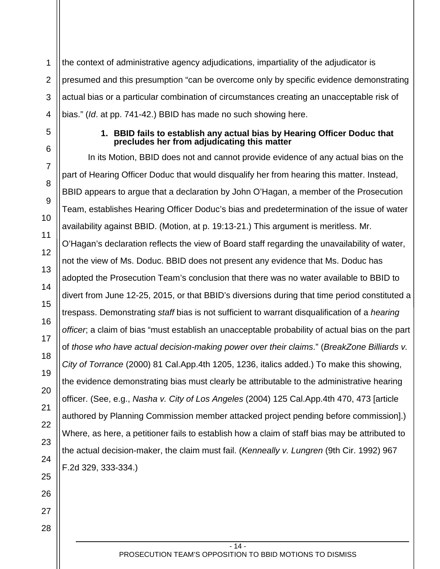1 2 3 4 the context of administrative agency adjudications, impartiality of the adjudicator is presumed and this presumption "can be overcome only by specific evidence demonstrating actual bias or a particular combination of circumstances creating an unacceptable risk of bias." (*Id*. at pp. 741-42.) BBID has made no such showing here.

<span id="page-17-0"></span>5

6

7

8

9

10

11

12

13

14

15

16

17

18

19

20

21

22

23

24

25

26

## **1. BBID fails to establish any actual bias by Hearing Officer Doduc that precludes her from adjudicating this matter**

In its Motion, BBID does not and cannot provide evidence of any actual bias on the part of Hearing Officer Doduc that would disqualify her from hearing this matter. Instead, BBID appears to argue that a declaration by John O'Hagan, a member of the Prosecution Team, establishes Hearing Officer Doduc's bias and predetermination of the issue of water availability against BBID. (Motion, at p. 19:13-21.) This argument is meritless. Mr. O'Hagan's declaration reflects the view of Board staff regarding the unavailability of water, not the view of Ms. Doduc. BBID does not present any evidence that Ms. Doduc has adopted the Prosecution Team's conclusion that there was no water available to BBID to divert from June 12-25, 2015, or that BBID's diversions during that time period constituted a trespass. Demonstrating *staff* bias is not sufficient to warrant disqualification of a *hearing officer*; a claim of bias "must establish an unacceptable probability of actual bias on the part of *those who have actual decision-making power over their claims*." (*BreakZone Billiards v. City of Torrance* (2000) 81 Cal.App.4th 1205, 1236, italics added.) To make this showing, the evidence demonstrating bias must clearly be attributable to the administrative hearing officer. (See, e.g., *Nasha v. City of Los Angeles* (2004) 125 Cal.App.4th 470, 473 [article authored by Planning Commission member attacked project pending before commission].) Where, as here, a petitioner fails to establish how a claim of staff bias may be attributed to the actual decision-maker, the claim must fail. (*Kenneally v. Lungren* (9th Cir. 1992) 967 F.2d 329, 333-334.)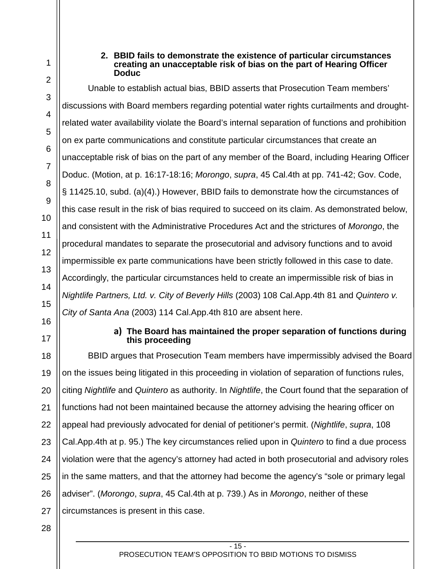<span id="page-18-1"></span>17

<span id="page-18-0"></span>1

#### **2. BBID fails to demonstrate the existence of particular circumstances creating an unacceptable risk of bias on the part of Hearing Officer Doduc**

Unable to establish actual bias, BBID asserts that Prosecution Team members' discussions with Board members regarding potential water rights curtailments and droughtrelated water availability violate the Board's internal separation of functions and prohibition on ex parte communications and constitute particular circumstances that create an unacceptable risk of bias on the part of any member of the Board, including Hearing Officer Doduc. (Motion, at p. 16:17-18:16; *Morongo*, *supra*, 45 Cal.4th at pp. 741-42; Gov. Code, § 11425.10, subd. (a)(4).) However, BBID fails to demonstrate how the circumstances of this case result in the risk of bias required to succeed on its claim. As demonstrated below, and consistent with the Administrative Procedures Act and the strictures of *Morongo*, the procedural mandates to separate the prosecutorial and advisory functions and to avoid impermissible ex parte communications have been strictly followed in this case to date. Accordingly, the particular circumstances held to create an impermissible risk of bias in *Nightlife Partners, Ltd. v. City of Beverly Hills* (2003) 108 Cal.App.4th 81 and *Quintero v. City of Santa Ana* (2003) 114 Cal.App.4th 810 are absent here.

## **a) The Board has maintained the proper separation of functions during this proceeding**

18 19 20 21 22 23 24 25 26 27 BBID argues that Prosecution Team members have impermissibly advised the Board on the issues being litigated in this proceeding in violation of separation of functions rules, citing *Nightlife* and *Quintero* as authority. In *Nightlife*, the Court found that the separation of functions had not been maintained because the attorney advising the hearing officer on appeal had previously advocated for denial of petitioner's permit. (*Nightlife*, *supra*, 108 Cal.App.4th at p. 95.) The key circumstances relied upon in *Quintero* to find a due process violation were that the agency's attorney had acted in both prosecutorial and advisory roles in the same matters, and that the attorney had become the agency's "sole or primary legal adviser". (*Morongo*, *supra*, 45 Cal.4th at p. 739.) As in *Morongo*, neither of these circumstances is present in this case.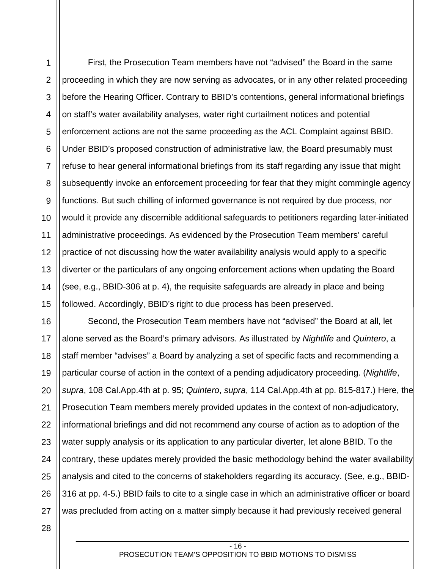1 2 3 4 5 6 7 8 9 10 11 12 13 14 15 First, the Prosecution Team members have not "advised" the Board in the same proceeding in which they are now serving as advocates, or in any other related proceeding before the Hearing Officer. Contrary to BBID's contentions, general informational briefings on staff's water availability analyses, water right curtailment notices and potential enforcement actions are not the same proceeding as the ACL Complaint against BBID. Under BBID's proposed construction of administrative law, the Board presumably must refuse to hear general informational briefings from its staff regarding any issue that might subsequently invoke an enforcement proceeding for fear that they might commingle agency functions. But such chilling of informed governance is not required by due process, nor would it provide any discernible additional safeguards to petitioners regarding later-initiated administrative proceedings. As evidenced by the Prosecution Team members' careful practice of not discussing how the water availability analysis would apply to a specific diverter or the particulars of any ongoing enforcement actions when updating the Board (see, e.g., BBID-306 at p. 4), the requisite safeguards are already in place and being followed. Accordingly, BBID's right to due process has been preserved.

16 17 18 19 20 21 22 23 24 25 26 27 Second, the Prosecution Team members have not "advised" the Board at all, let alone served as the Board's primary advisors. As illustrated by *Nightlife* and *Quintero*, a staff member "advises" a Board by analyzing a set of specific facts and recommending a particular course of action in the context of a pending adjudicatory proceeding. (*Nightlife*, *supra*, 108 Cal.App.4th at p. 95; *Quintero*, *supra*, 114 Cal.App.4th at pp. 815-817.) Here, the Prosecution Team members merely provided updates in the context of non-adjudicatory, informational briefings and did not recommend any course of action as to adoption of the water supply analysis or its application to any particular diverter, let alone BBID. To the contrary, these updates merely provided the basic methodology behind the water availability analysis and cited to the concerns of stakeholders regarding its accuracy. (See, e.g., BBID-316 at pp. 4-5.) BBID fails to cite to a single case in which an administrative officer or board was precluded from acting on a matter simply because it had previously received general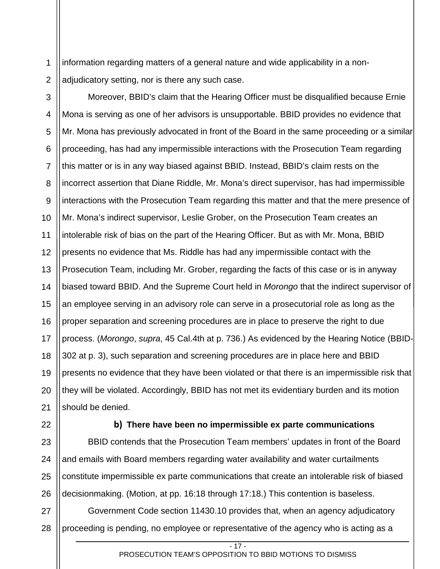1 2 information regarding matters of a general nature and wide applicability in a nonadjudicatory setting, nor is there any such case.

3

4 5 6 7 8 9 10 11 12 13 14 15 16 17 18 19 20 21 Moreover, BBID's claim that the Hearing Officer must be disqualified because Ernie Mona is serving as one of her advisors is unsupportable. BBID provides no evidence that Mr. Mona has previously advocated in front of the Board in the same proceeding or a similar proceeding, has had any impermissible interactions with the Prosecution Team regarding this matter or is in any way biased against BBID. Instead, BBID's claim rests on the incorrect assertion that Diane Riddle, Mr. Mona's direct supervisor, has had impermissible interactions with the Prosecution Team regarding this matter and that the mere presence of Mr. Mona's indirect supervisor, Leslie Grober, on the Prosecution Team creates an intolerable risk of bias on the part of the Hearing Officer. But as with Mr. Mona, BBID presents no evidence that Ms. Riddle has had any impermissible contact with the Prosecution Team, including Mr. Grober, regarding the facts of this case or is in anyway biased toward BBID. And the Supreme Court held in *Morongo* that the indirect supervisor of an employee serving in an advisory role can serve in a prosecutorial role as long as the proper separation and screening procedures are in place to preserve the right to due process. (*Morongo*, *supra*, 45 Cal.4th at p. 736.) As evidenced by the Hearing Notice (BBID-302 at p. 3), such separation and screening procedures are in place here and BBID presents no evidence that they have been violated or that there is an impermissible risk that they will be violated. Accordingly, BBID has not met its evidentiary burden and its motion should be denied.

<span id="page-20-0"></span>22

23

24

25

26

#### **b) There have been no impermissible ex parte communications**

BBID contends that the Prosecution Team members' updates in front of the Board and emails with Board members regarding water availability and water curtailments constitute impermissible ex parte communications that create an intolerable risk of biased decisionmaking. (Motion, at pp. 16:18 through 17:18.) This contention is baseless.

27 28 Government Code section 11430.10 provides that, when an agency adjudicatory proceeding is pending, no employee or representative of the agency who is acting as a

 $-17 -$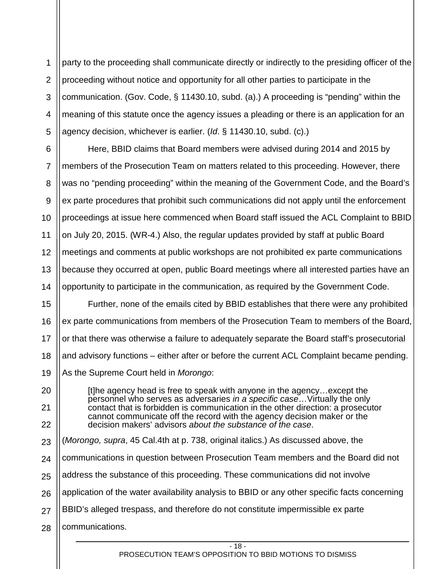1 2 3 4 5 party to the proceeding shall communicate directly or indirectly to the presiding officer of the proceeding without notice and opportunity for all other parties to participate in the communication. (Gov. Code, § 11430.10, subd. (a).) A proceeding is "pending" within the meaning of this statute once the agency issues a pleading or there is an application for an agency decision, whichever is earlier. (*Id*. § 11430.10, subd. (c).)

6 7 8 9 10 11 12 13 14 Here, BBID claims that Board members were advised during 2014 and 2015 by members of the Prosecution Team on matters related to this proceeding. However, there was no "pending proceeding" within the meaning of the Government Code, and the Board's ex parte procedures that prohibit such communications did not apply until the enforcement proceedings at issue here commenced when Board staff issued the ACL Complaint to BBID on July 20, 2015. (WR-4.) Also, the regular updates provided by staff at public Board meetings and comments at public workshops are not prohibited ex parte communications because they occurred at open, public Board meetings where all interested parties have an opportunity to participate in the communication, as required by the Government Code.

15 16 17 18 19 Further, none of the emails cited by BBID establishes that there were any prohibited ex parte communications from members of the Prosecution Team to members of the Board, or that there was otherwise a failure to adequately separate the Board staff's prosecutorial and advisory functions – either after or before the current ACL Complaint became pending. As the Supreme Court held in *Morongo*:

[t]he agency head is free to speak with anyone in the agency…except the personnel who serves as adversaries *in a specific case*…Virtually the only contact that is forbidden is communication in the other direction: a prosecutor cannot communicate off the record with the agency decision maker or the decision makers' advisors *about the substance of the case*.

- 23 (*Morongo, supra*, 45 Cal.4th at p. 738, original italics.) As discussed above, the
- 24 communications in question between Prosecution Team members and the Board did not
- 25 address the substance of this proceeding. These communications did not involve
- 26 application of the water availability analysis to BBID or any other specific facts concerning
- 27 BBID's alleged trespass, and therefore do not constitute impermissible ex parte
- 28 communications.

20

21